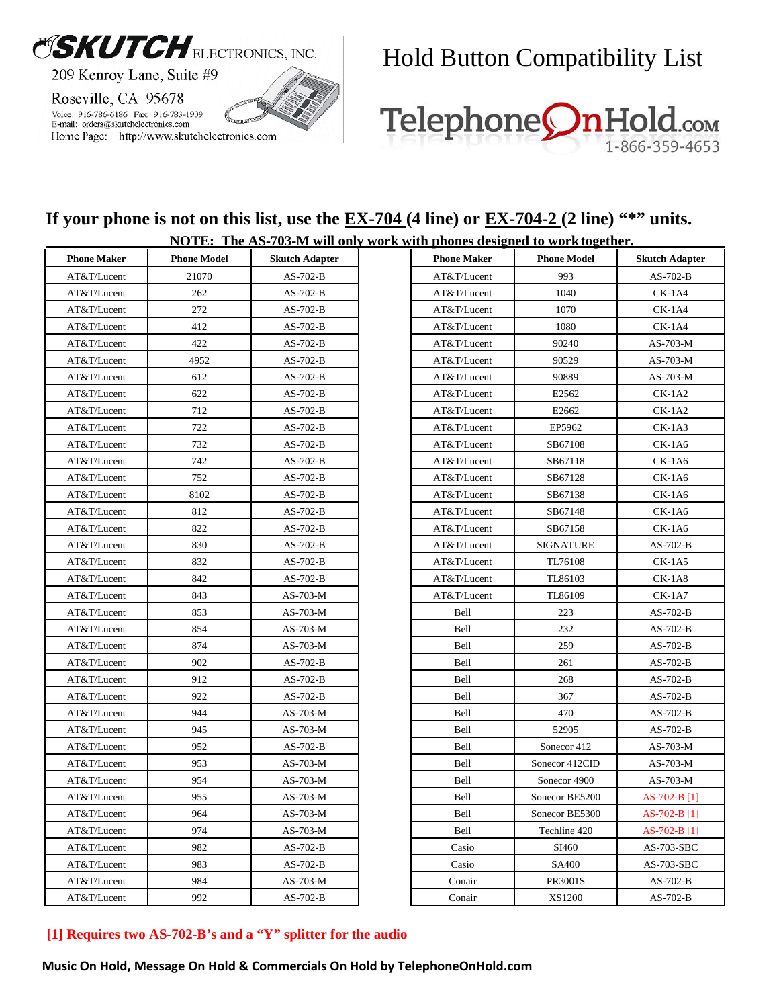

#### Hold Button Compatibility List



### **If your phone is not on this list, use the <u>EX-704</u> (4 line) or <u>EX-704-2</u> (2 line) "\*" units.**

| <b>NOTE:</b> The AS-703-M will only work with phones designed to work together. |                    |                       |  |                    |                    |                       |
|---------------------------------------------------------------------------------|--------------------|-----------------------|--|--------------------|--------------------|-----------------------|
| <b>Phone Maker</b>                                                              | <b>Phone Model</b> | <b>Skutch Adapter</b> |  | <b>Phone Maker</b> | <b>Phone Model</b> | <b>Skutch Adapter</b> |
| AT&T/Lucent                                                                     | 21070              | $AS-702-B$            |  | AT&T/Lucent        | 993                | $AS-702-B$            |
| AT&T/Lucent                                                                     | 262                | $AS-702-B$            |  | AT&T/Lucent        | 1040               | $CK-1A4$              |
| AT&T/Lucent                                                                     | 272                | $AS-702-B$            |  | AT&T/Lucent        | 1070               | $CK-1A4$              |
| AT&T/Lucent                                                                     | 412                | $AS-702-B$            |  | AT&T/Lucent        | 1080               | $CK-1A4$              |
| AT&T/Lucent                                                                     | 422                | $AS-702-B$            |  | AT&T/Lucent        | 90240              | $AS-703-M$            |
| AT&T/Lucent                                                                     | 4952               | $AS-702-B$            |  | AT&T/Lucent        | 90529              | $AS-703-M$            |
| AT&T/Lucent                                                                     | 612                | $AS-702-B$            |  | AT&T/Lucent        | 90889              | AS-703-M              |
| AT&T/Lucent                                                                     | 622                | $AS-702-B$            |  | AT&T/Lucent        | E2562              | $CK-1A2$              |
| AT&T/Lucent                                                                     | 712                | $AS-702-B$            |  | AT&T/Lucent        | E2662              | $CK-1A2$              |
| AT&T/Lucent                                                                     | 722                | $AS-702-B$            |  | AT&T/Lucent        | EP5962             | $CK-1A3$              |
| AT&T/Lucent                                                                     | 732                | $AS-702-B$            |  | AT&T/Lucent        | SB67108            | $CK-1A6$              |
| AT&T/Lucent                                                                     | 742                | $AS-702-B$            |  | AT&T/Lucent        | SB67118            | $CK-1A6$              |
| AT&T/Lucent                                                                     | 752                | $AS-702-B$            |  | AT&T/Lucent        | SB67128            | $CK-1A6$              |
| AT&T/Lucent                                                                     | 8102               | $AS-702-B$            |  | AT&T/Lucent        | SB67138            | $CK-1A6$              |
| AT&T/Lucent                                                                     | 812                | $AS-702-B$            |  | AT&T/Lucent        | SB67148            | $CK-1A6$              |
| AT&T/Lucent                                                                     | 822                | $AS-702-B$            |  | AT&T/Lucent        | SB67158            | $CK-1A6$              |
| AT&T/Lucent                                                                     | 830                | $AS-702-B$            |  | AT&T/Lucent        | <b>SIGNATURE</b>   | AS-702-B              |
| AT&T/Lucent                                                                     | 832                | $AS-702-B$            |  | AT&T/Lucent        | TL76108            | $CK-1A5$              |
| AT&T/Lucent                                                                     | 842                | $AS-702-B$            |  | AT&T/Lucent        | TL86103            | $CK-1A8$              |
| AT&T/Lucent                                                                     | 843                | AS-703-M              |  | AT&T/Lucent        | TL86109            | $CK-1A7$              |
| AT&T/Lucent                                                                     | 853                | AS-703-M              |  | Bell               | 223                | AS-702-B              |
| AT&T/Lucent                                                                     | 854                | AS-703-M              |  | Bell               | 232                | AS-702-B              |
| AT&T/Lucent                                                                     | 874                | AS-703-M              |  | Bell               | 259                | $AS-702-B$            |
| AT&T/Lucent                                                                     | 902                | $AS-702-B$            |  | Bell               | 261                | $AS-702-B$            |
| AT&T/Lucent                                                                     | 912                | $AS-702-B$            |  | Bell               | 268                | $AS-702-B$            |
| AT&T/Lucent                                                                     | 922                | $AS-702-B$            |  | Bell               | 367                | $AS-702-B$            |
| AT&T/Lucent                                                                     | 944                | AS-703-M              |  | Bell               | 470                | AS-702-B              |
| AT&T/Lucent                                                                     | 945                | AS-703-M              |  | Bell               | 52905              | AS-702-B              |
| AT&T/Lucent                                                                     | 952                | $AS-702-B$            |  | Bell               | Sonecor 412        | $AS-703-M$            |
| AT&T/Lucent                                                                     | 953                | AS-703-M              |  | Bell               | Sonecor 412CID     | AS-703-M              |
| AT&T/Lucent                                                                     | 954                | AS-703-M              |  | Bell               | Sonecor 4900       | AS-703-M              |
| AT&T/Lucent                                                                     | 955                | AS-703-M              |  | Bell               | Sonecor BE5200     | AS-702-B [1]          |
| AT&T/Lucent                                                                     | 964                | $AS-703-M$            |  | Bell               | Sonecor BE5300     | $AS-702-B$ [1]        |
| AT&T/Lucent                                                                     | 974                | AS-703-M              |  | Bell               | Techline 420       | AS-702-B [1]          |
| AT&T/Lucent                                                                     | 982                | $AS-702-B$            |  | Casio              | SI460              | AS-703-SBC            |
| AT&T/Lucent                                                                     | 983                | AS-702-B              |  | Casio              | SA400              | AS-703-SBC            |
| AT&T/Lucent                                                                     | 984                | AS-703-M              |  | Conair             | PR3001S            | $AS-702-B$            |
| AT&T/Lucent                                                                     | 992                | $AS-702-B$            |  | Conair             | XS1200             | AS-702-B              |

#### **[1] Requires two AS-702-B's and a "Y" splitter for the audio**

**Music On Hold, Message On Hold & Commercials On Hold by TelephoneOnHold.com**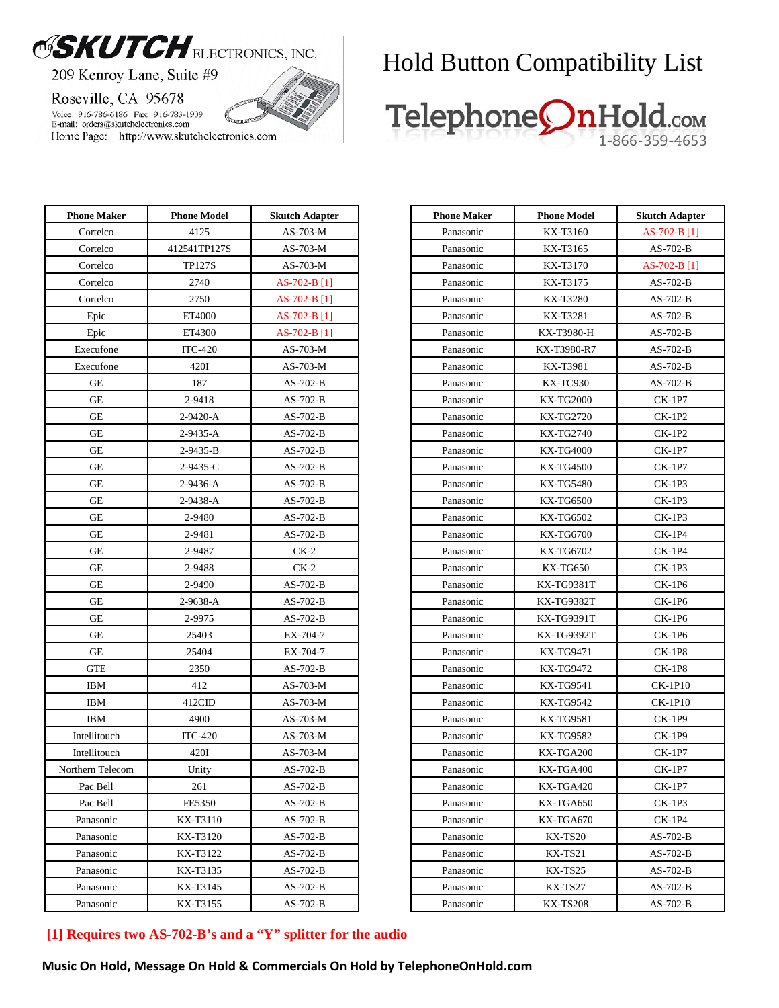# OSKUTCH ELECTRONICS, INC.

209 Kenroy Lane, Suite #9

Roseville, CA 95678

Voice: 916-786-6186 Fax: 916-783-1909 E-mail: orders@skutchelectronics.com Home Page: http://www.skutchelectronics.com

### Hold Button Compatibility List



| <b>Phone Maker</b> | <b>Phone Model</b> | <b>Skutch Adapter</b> |
|--------------------|--------------------|-----------------------|
| Cortelco           | 4125               | AS-703-M              |
| Cortelco           | 412541TP127S       | $AS-703-M$            |
| Cortelco           | <b>TP127S</b>      | $AS-703-M$            |
| Cortelco           | 2740               | AS-702-B [1]          |
| Cortelco           | 2750               | AS-702-B [1]          |
| Epic               | ET4000             | AS-702-B [1]          |
| Epic               | ET4300             | AS-702-B [1]          |
| Execufone          | <b>ITC-420</b>     | $AS-703-M$            |
| Execufone          | 420I               | AS-703-M              |
| GE                 | 187                | $AS-702-B$            |
| GE                 | 2-9418             | AS-702-B              |
| GE                 | 2-9420-A           | $AS-702-B$            |
| GЕ                 | 2-9435-A           | $AS-702-B$            |
| GE                 | 2-9435-B           | $AS-702-B$            |
| GE                 | 2-9435-C           | $AS-702-B$            |
| GE                 | 2-9436-A           | $AS-702-B$            |
| GE                 | 2-9438-A           | $AS-702-B$            |
| GЕ                 | 2-9480             | $AS-702-B$            |
| GE                 | 2-9481             | AS-702-B              |
| GE                 | 2-9487             | $CK-2$                |
| GE                 | 2-9488             | $CK-2$                |
| GE                 | 2-9490             | $AS-702-B$            |
| GE                 | 2-9638-A           | $AS-702-B$            |
| GE                 | 2-9975             | AS-702-B              |
| GE                 | 25403              | EX-704-7              |
| GE                 | 25404              | EX-704-7              |
| <b>GTE</b>         | 2350               | $AS-702-B$            |
| IBM                | 412                | AS-703-M              |
| IBM                | 412CID             | AS-703-M              |
| <b>IBM</b>         | 4900               | AS-703-M              |
| Intellitouch       | <b>ITC-420</b>     | AS-703-M              |
| Intellitouch       | 420I               | $AS-703-M$            |
| Northern Telecom   | Unity              | $AS-702-B$            |
| Pac Bell           | 261                | AS-702-B              |
| Pac Bell           | FE5350             | AS-702-B              |
| Panasonic          | KX-T3110           | $AS-702-B$            |
| Panasonic          | KX-T3120           | $AS-702-B$            |
| Panasonic          | KX-T3122           | $AS-702-B$            |
| Panasonic          | KX-T3135           | $AS-702-B$            |
| Panasonic          | KX-T3145           | AS-702-B              |
| Panasonic          | KX-T3155           | AS-702-B              |

| <b>Phone Maker</b> | <b>Phone Model</b> | <b>Skutch Adapter</b> |
|--------------------|--------------------|-----------------------|
| Panasonic          | KX-T3160           | $AS-702-B$ [1]        |
| Panasonic          | KX-T3165           | $AS-702-B$            |
| Panasonic          | KX-T3170           | AS-702-B [1]          |
| Panasonic          | KX-T3175           | $AS-702-B$            |
| Panasonic          | KX-T3280           | AS-702-B              |
| Panasonic          | KX-T3281           | AS-702-B              |
| Panasonic          | KX-T3980-H         | $AS-702-B$            |
| Panasonic          | KX-T3980-R7        | $AS-702-B$            |
| Panasonic          | KX-T3981           | $AS-702-B$            |
| Panasonic          | KX-TC930           | AS-702-B              |
| Panasonic          | KX-TG2000          | CK-1P7                |
| Panasonic          | <b>KX-TG2720</b>   | CK-1P2                |
| Panasonic          | <b>KX-TG2740</b>   | CK-1P2                |
| Panasonic          | <b>KX-TG4000</b>   | CK-1P7                |
| Panasonic          | KX-TG4500          | CK-1P7                |
| Panasonic          | KX-TG5480          | CK-1P3                |
| Panasonic          | <b>KX-TG6500</b>   | CK-1P3                |
| Panasonic          | <b>KX-TG6502</b>   | <b>CK-1P3</b>         |
| Panasonic          | <b>KX-TG6700</b>   | CK-1P4                |
| Panasonic          | KX-TG6702          | <b>CK-1P4</b>         |
| Panasonic          | KX-TG650           | <b>CK-1P3</b>         |
| Panasonic          | KX-TG9381T         | CK-1P6                |
| Panasonic          | KX-TG9382T         | CK-1P6                |
| Panasonic          | KX-TG9391T         | CK-1P6                |
| Panasonic          | KX-TG9392T         | CK-1P6                |
| Panasonic          | KX-TG9471          | CK-1P8                |
| Panasonic          | KX-TG9472          | <b>CK-1P8</b>         |
| Panasonic          | KX-TG9541          | <b>CK-1P10</b>        |
| Panasonic          | KX-TG9542          | <b>CK-1P10</b>        |
| Panasonic          | KX-TG9581          | CK-1P9                |
| Panasonic          | KX-TG9582          | CK-1P9                |
| Panasonic          | KX-TGA200          | CK-1P7                |
| Panasonic          | KX-TGA400          | <b>CK-1P7</b>         |
| Panasonic          | KX-TGA420          | CK-1P7                |
| Panasonic          | KX-TGA650          | CK-1P3                |
| Panasonic          | KX-TGA670          | CK-1P4                |
| Panasonic          | KX-TS20            | $AS-702-B$            |
| Panasonic          | KX-TS21            | AS-702-B              |
| Panasonic          | KX-TS25            | AS-702-B              |
| Panasonic          | KX-TS27            | AS-702-B              |
| Panasonic          | <b>KX-TS208</b>    | $AS-702-B$            |

#### **[1] Requires two AS-702-B's and a "Y" splitter for the audio**